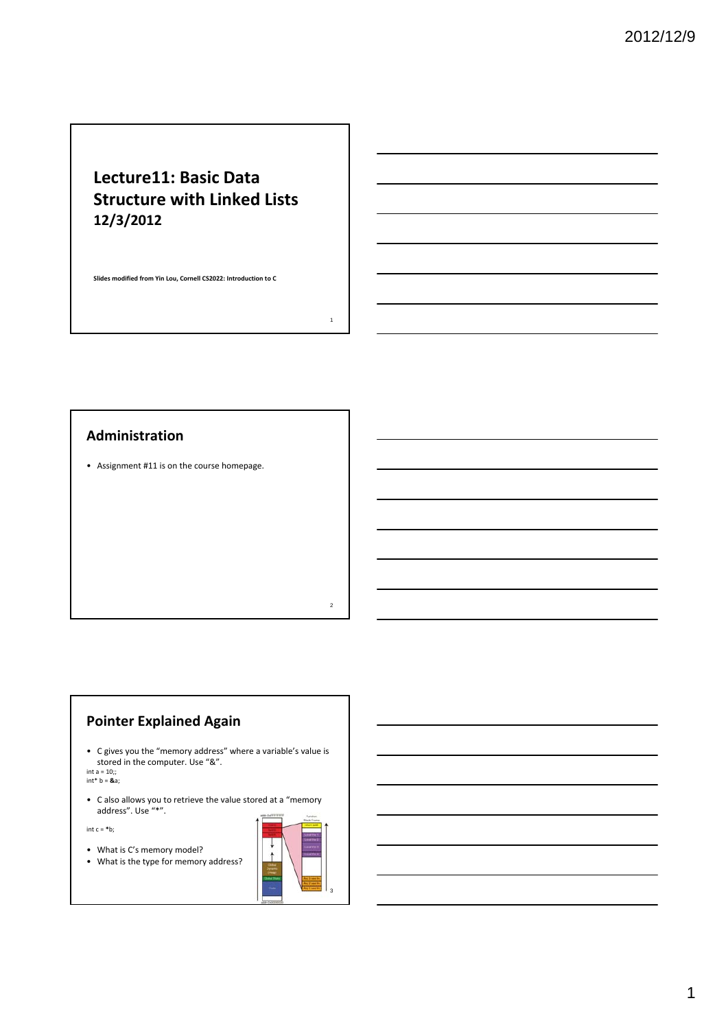# **Lecture11: Basic Data Structure with Linked Lists 12/3/2012**

**Slides modified from Yin Lou, Cornell CS2022: Introduction to C**

# **Administration**

• Assignment #11 is on the course homepage.

# **Pointer Explained Again**

• C gives you the "memory address" where a variable's value is stored in the computer. Use "&".

int a = 10;; int\* b = **&**a;

• C also allows you to retrieve the value stored at a "memory address". Use "\*".

int c = **\***b;

• What is C's memory model?

• What is the type for memory address?



1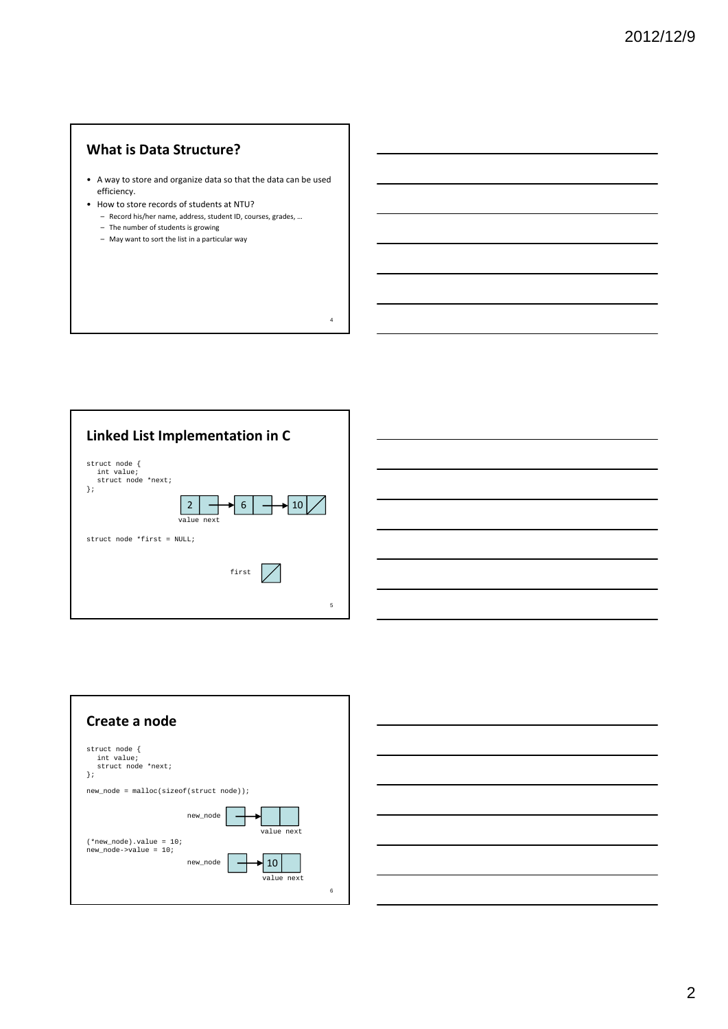# **What is Data Structure?**

• A way to store and organize data so that the data can be used efficiency.

- How to store records of students at NTU?
	- Record his/her name, address, student ID, courses, grades, …
	- The number of students is growing
	- May want to sort the list in a particular way





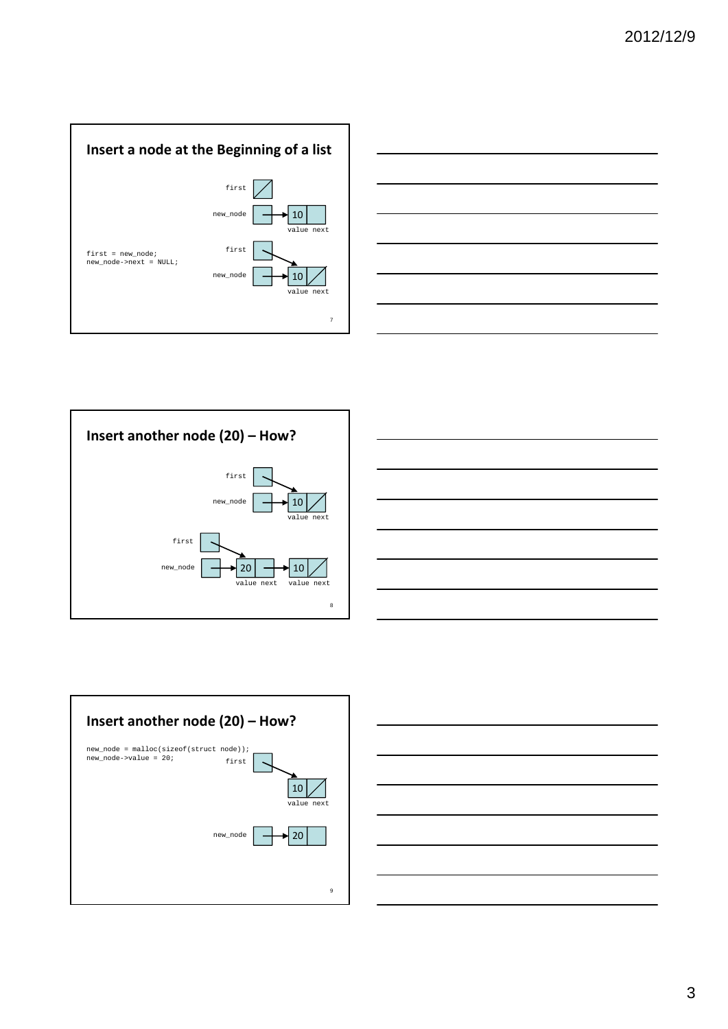









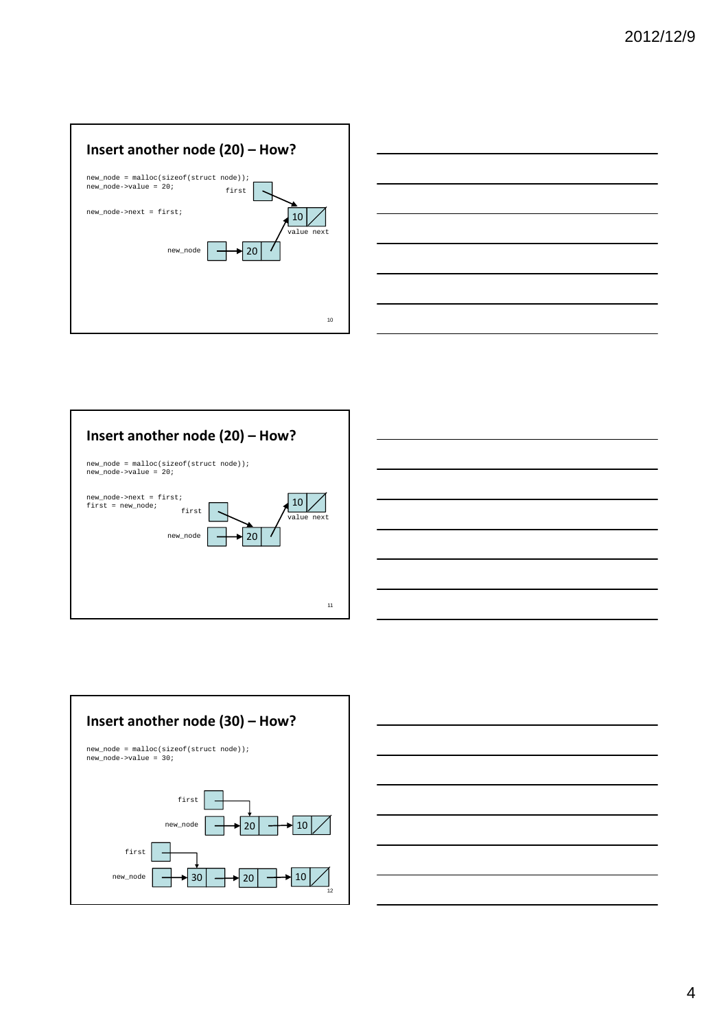









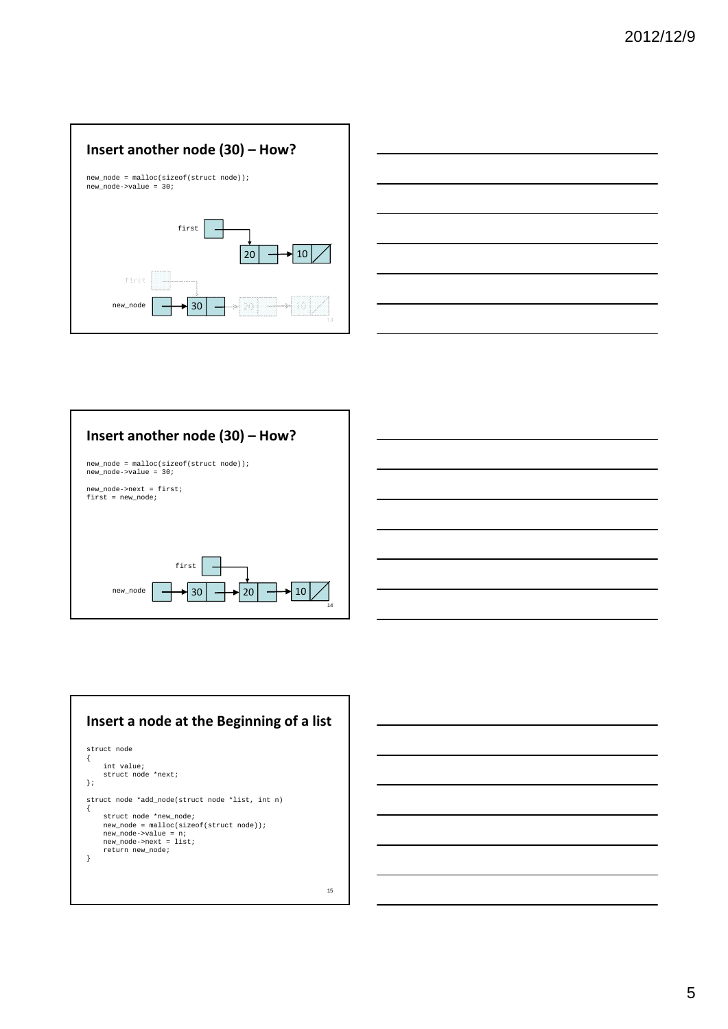







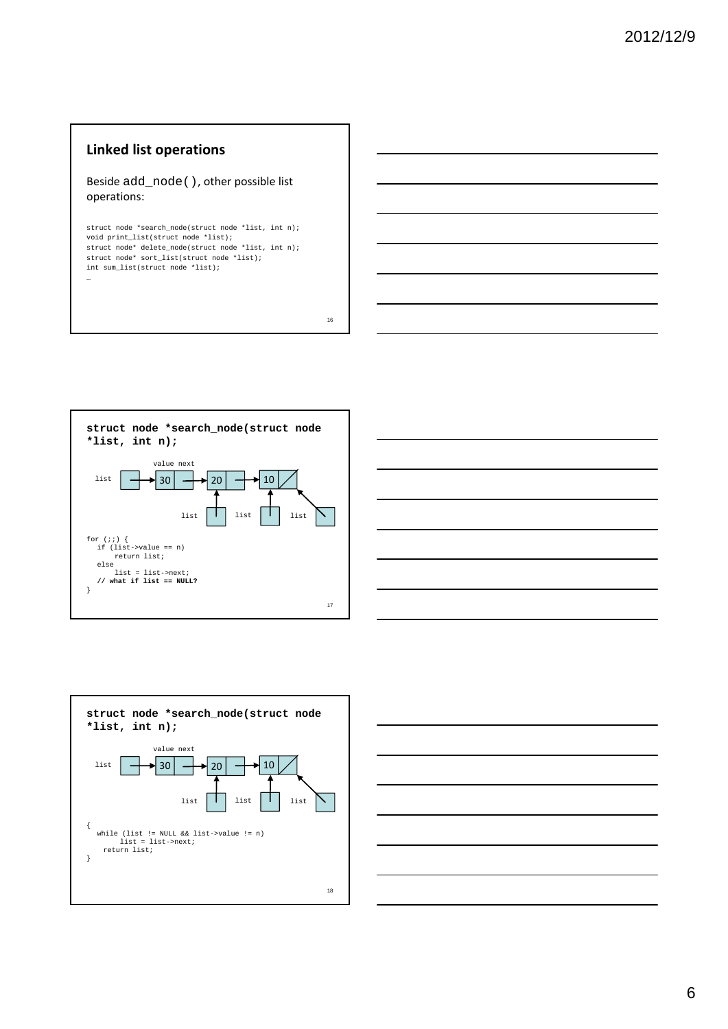### **Linked list operations**

Beside add\_node(), other possible list operations:

struct node \*search\_node(struct node \*list, int n); void print\_list(struct node \*list); struct node\* delete\_node(struct node \*list, int n); struct node\* sort\_list(struct node \*list); int sum\_list(struct node \*list); …







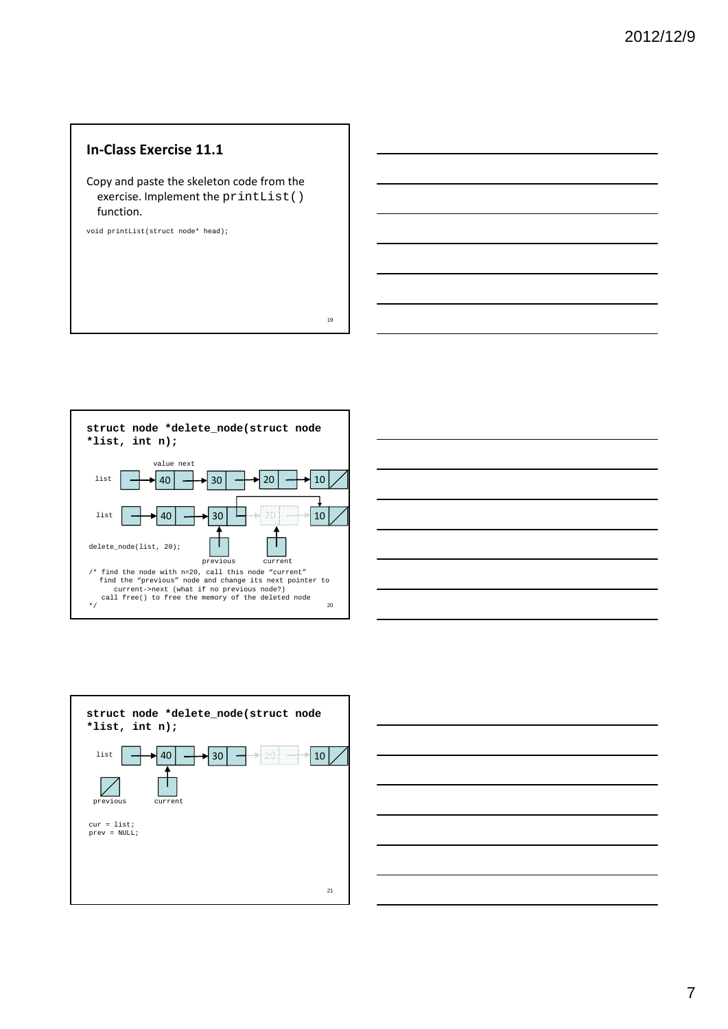#### **In‐Class Exercise 11.1**

Copy and paste the skeleton code from the exercise. Implement the printList() function.

void printList(struct node\* head);







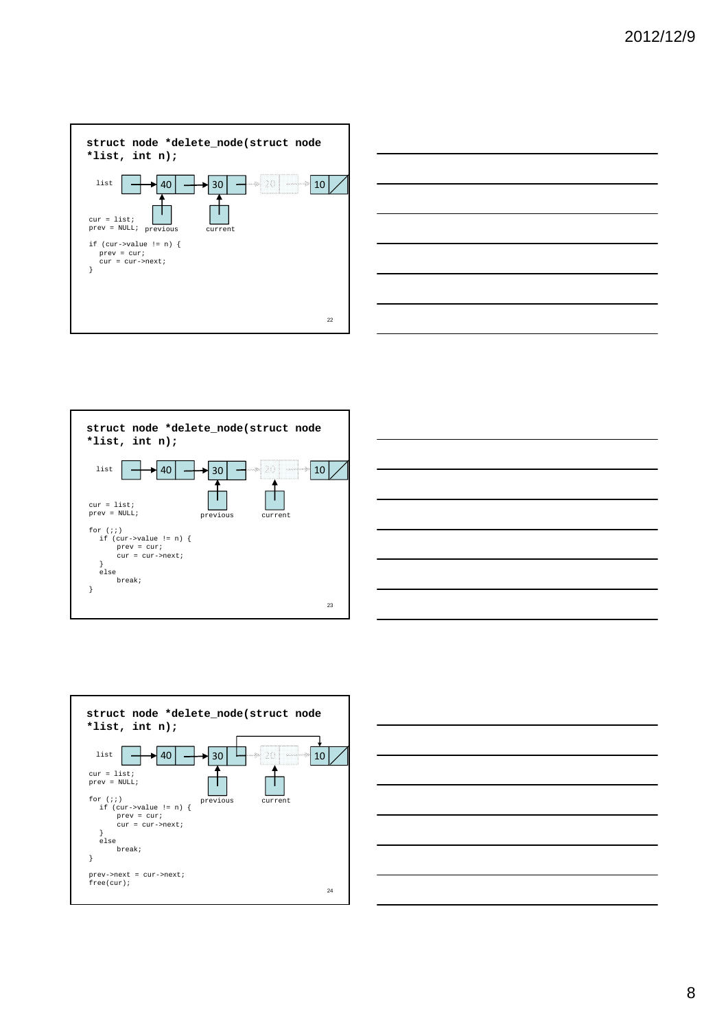









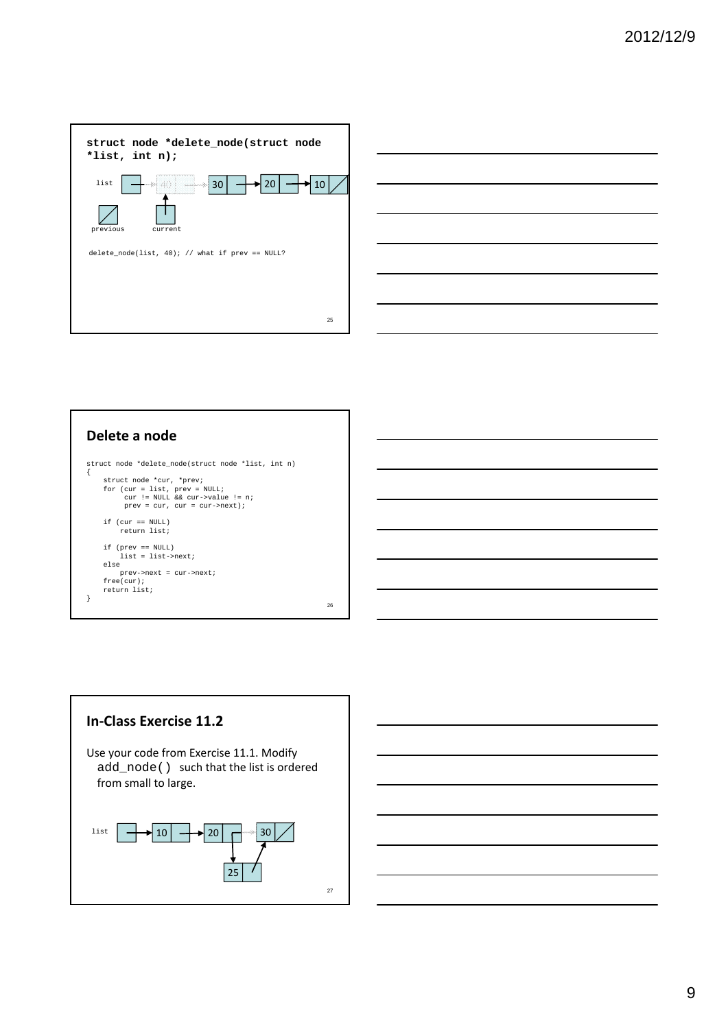



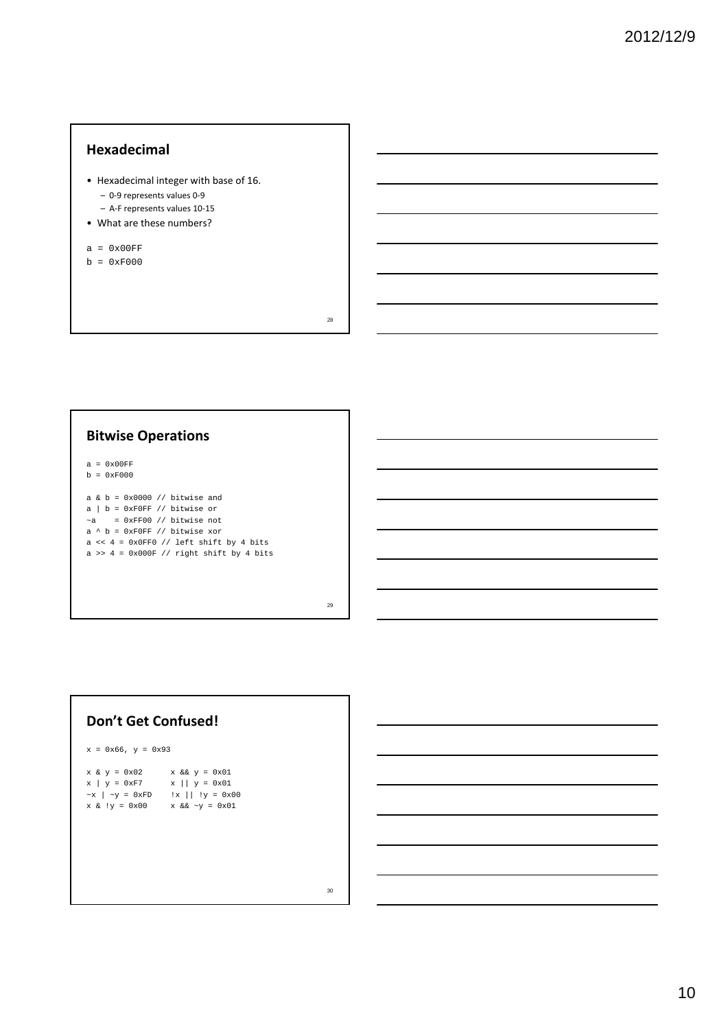#### **Hexadecimal**

- Hexadecimal integer with base of 16.
	- 0‐9 represents values 0‐9
	- A‐F represents values 10‐15
- What are these numbers?
- $a = 0x00FF$
- $b = 0xF000$

28

# **Bitwise Operations**

 $a = 0x00FF$  $b = 0xF000$ 

a &  $b = 0x0000$  // bitwise and  $a \mid b = 0 \times F0FF$  // bitwise or  $-a = 0 \times FFO0$  // bitwise not a  $\land$  b = 0xF0FF // bitwise xor a <<  $4 = 0x0FF0$  // left shift by 4 bits a >>  $4 = 0x000F$  // right shift by 4 bits

29

#### **Don't Get Confused!**

 $x = 0x66, y = 0x93$ 

| $x & y = 0x02$               | $x \&& y = 0x01$              |
|------------------------------|-------------------------------|
| $x \mid y = 0xF7$            | $x    y = 0x01$               |
| $~\sim$ x   $~\sim$ y = 0xFD | $\ x\ $ $\ y\  = 0 \times 00$ |
| $x & (y = 0x00)$             | $x & 6x \sim y = 0x01$        |